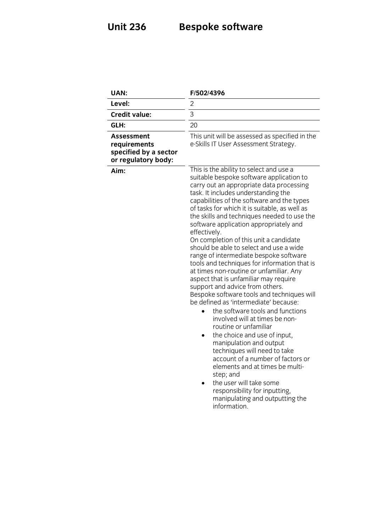### **Unit 236 Bespoke software**

| <b>UAN:</b>                                                                       | F/502/4396                                                                                                                                                                                                                                                                                                                                                                                                                                                                                                                                                                                                                                                                                                                                                                                                                                                                                                                                                                                                                                                                                                                                                                |
|-----------------------------------------------------------------------------------|---------------------------------------------------------------------------------------------------------------------------------------------------------------------------------------------------------------------------------------------------------------------------------------------------------------------------------------------------------------------------------------------------------------------------------------------------------------------------------------------------------------------------------------------------------------------------------------------------------------------------------------------------------------------------------------------------------------------------------------------------------------------------------------------------------------------------------------------------------------------------------------------------------------------------------------------------------------------------------------------------------------------------------------------------------------------------------------------------------------------------------------------------------------------------|
| Level:                                                                            | $\overline{c}$                                                                                                                                                                                                                                                                                                                                                                                                                                                                                                                                                                                                                                                                                                                                                                                                                                                                                                                                                                                                                                                                                                                                                            |
| <b>Credit value:</b>                                                              | $\overline{3}$                                                                                                                                                                                                                                                                                                                                                                                                                                                                                                                                                                                                                                                                                                                                                                                                                                                                                                                                                                                                                                                                                                                                                            |
| GLH:                                                                              | 20                                                                                                                                                                                                                                                                                                                                                                                                                                                                                                                                                                                                                                                                                                                                                                                                                                                                                                                                                                                                                                                                                                                                                                        |
| <b>Assessment</b><br>requirements<br>specified by a sector<br>or regulatory body: | This unit will be assessed as specified in the<br>e-Skills IT User Assessment Strategy.                                                                                                                                                                                                                                                                                                                                                                                                                                                                                                                                                                                                                                                                                                                                                                                                                                                                                                                                                                                                                                                                                   |
| Aim:                                                                              | This is the ability to select and use a<br>suitable bespoke software application to<br>carry out an appropriate data processing<br>task. It includes understanding the<br>capabilities of the software and the types<br>of tasks for which it is suitable, as well as<br>the skills and techniques needed to use the<br>software application appropriately and<br>effectively.<br>On completion of this unit a candidate<br>should be able to select and use a wide<br>range of intermediate bespoke software<br>tools and techniques for information that is<br>at times non-routine or unfamiliar. Any<br>aspect that is unfamiliar may require<br>support and advice from others.<br>Bespoke software tools and techniques will<br>be defined as 'intermediate' because:<br>the software tools and functions<br>involved will at times be non-<br>routine or unfamiliar<br>the choice and use of input,<br>manipulation and output<br>techniques will need to take<br>account of a number of factors or<br>elements and at times be multi-<br>step; and<br>the user will take some<br>responsibility for inputting,<br>manipulating and outputting the<br>information. |